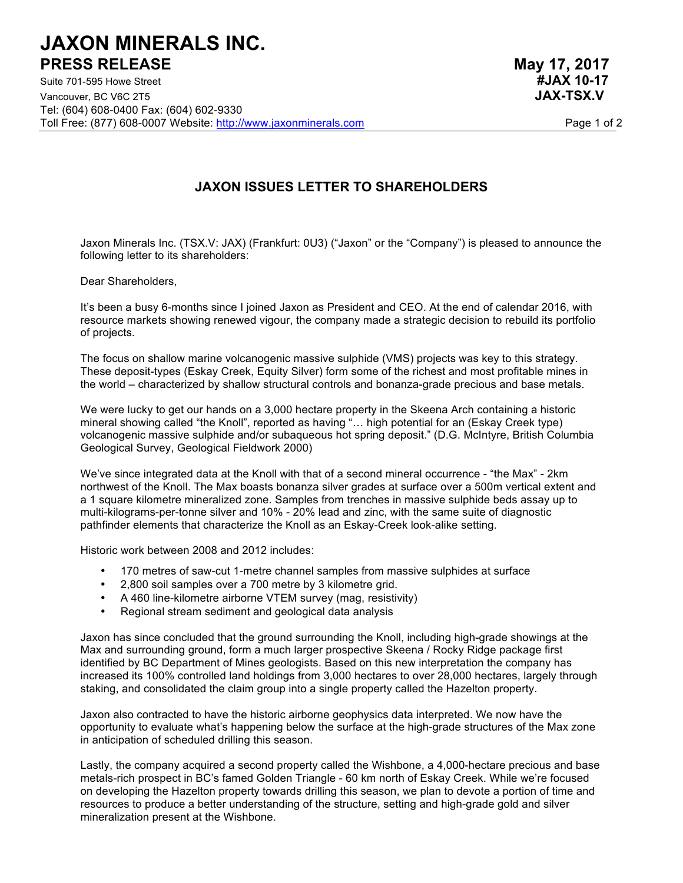## **JAXON MINERALS INC. PRESS RELEASE May 17, 2017**

Suite 701-595 Howe Street **#JAX 10-17** Vancouver, BC V6C 2T5 **JAX-TSX.V** Tel: (604) 608-0400 Fax: (604) 602-9330 Toll Free: (877) 608-0007 Website: http://www.jaxonminerals.com Page 1 of 2

## **JAXON ISSUES LETTER TO SHAREHOLDERS**

Jaxon Minerals Inc. (TSX.V: JAX) (Frankfurt: 0U3) ("Jaxon" or the "Company") is pleased to announce the following letter to its shareholders:

Dear Shareholders,

It's been a busy 6-months since I joined Jaxon as President and CEO. At the end of calendar 2016, with resource markets showing renewed vigour, the company made a strategic decision to rebuild its portfolio of projects.

The focus on shallow marine volcanogenic massive sulphide (VMS) projects was key to this strategy. These deposit-types (Eskay Creek, Equity Silver) form some of the richest and most profitable mines in the world – characterized by shallow structural controls and bonanza-grade precious and base metals.

We were lucky to get our hands on a 3,000 hectare property in the Skeena Arch containing a historic mineral showing called "the Knoll", reported as having "… high potential for an (Eskay Creek type) volcanogenic massive sulphide and/or subaqueous hot spring deposit." (D.G. McIntyre, British Columbia Geological Survey, Geological Fieldwork 2000)

We've since integrated data at the Knoll with that of a second mineral occurrence - "the Max" - 2km northwest of the Knoll. The Max boasts bonanza silver grades at surface over a 500m vertical extent and a 1 square kilometre mineralized zone. Samples from trenches in massive sulphide beds assay up to multi-kilograms-per-tonne silver and 10% - 20% lead and zinc, with the same suite of diagnostic pathfinder elements that characterize the Knoll as an Eskay-Creek look-alike setting.

Historic work between 2008 and 2012 includes:

- 170 metres of saw-cut 1-metre channel samples from massive sulphides at surface
- 2,800 soil samples over a 700 metre by 3 kilometre grid.
- A 460 line-kilometre airborne VTEM survey (mag, resistivity)
- Regional stream sediment and geological data analysis

Jaxon has since concluded that the ground surrounding the Knoll, including high-grade showings at the Max and surrounding ground, form a much larger prospective Skeena / Rocky Ridge package first identified by BC Department of Mines geologists. Based on this new interpretation the company has increased its 100% controlled land holdings from 3,000 hectares to over 28,000 hectares, largely through staking, and consolidated the claim group into a single property called the Hazelton property.

Jaxon also contracted to have the historic airborne geophysics data interpreted. We now have the opportunity to evaluate what's happening below the surface at the high-grade structures of the Max zone in anticipation of scheduled drilling this season.

Lastly, the company acquired a second property called the Wishbone, a 4,000-hectare precious and base metals-rich prospect in BC's famed Golden Triangle - 60 km north of Eskay Creek. While we're focused on developing the Hazelton property towards drilling this season, we plan to devote a portion of time and resources to produce a better understanding of the structure, setting and high-grade gold and silver mineralization present at the Wishbone.